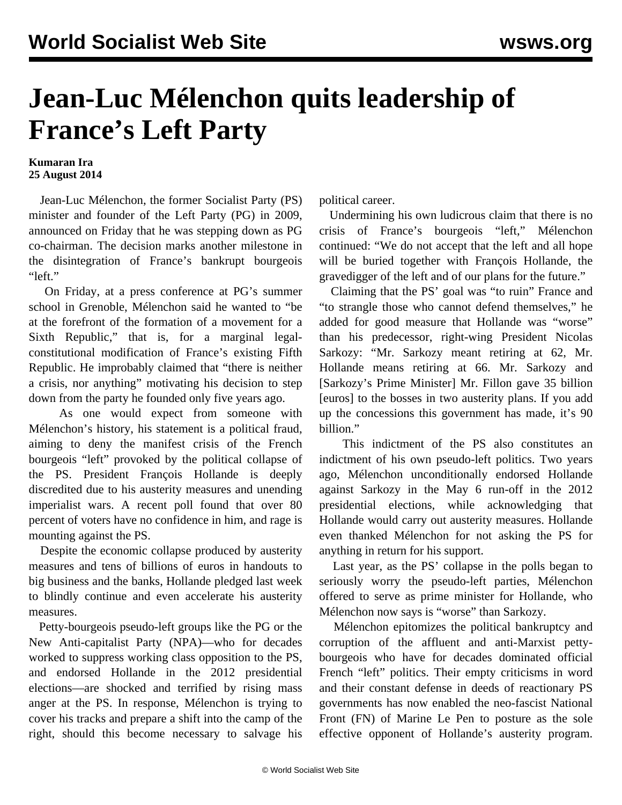## **Jean-Luc Mélenchon quits leadership of France's Left Party**

## **Kumaran Ira 25 August 2014**

 Jean-Luc Mélenchon, the former Socialist Party (PS) minister and founder of the Left Party (PG) in 2009, announced on Friday that he was stepping down as PG co-chairman. The decision marks another milestone in the disintegration of France's bankrupt bourgeois "left."

 On Friday, at a press conference at PG's summer school in Grenoble, Mélenchon said he wanted to "be at the forefront of the formation of a movement for a Sixth Republic," that is, for a marginal legalconstitutional modification of France's existing Fifth Republic. He improbably claimed that "there is neither a crisis, nor anything" motivating his decision to step down from the party he founded only five years ago.

 As one would expect from someone with Mélenchon's history, his statement is a political fraud, aiming to deny the manifest crisis of the French bourgeois "left" provoked by the political collapse of the PS. President François Hollande is deeply discredited due to his austerity measures and unending imperialist wars. A recent poll found that over 80 percent of voters have no confidence in him, and rage is mounting against the PS.

 Despite the economic collapse produced by austerity measures and tens of billions of euros in handouts to big business and the banks, Hollande pledged last week to blindly continue and even accelerate his austerity measures.

 Petty-bourgeois pseudo-left groups like the PG or the New Anti-capitalist Party (NPA)—who for decades worked to suppress working class opposition to the PS, and endorsed Hollande in the 2012 presidential elections—are shocked and terrified by rising mass anger at the PS. In response, Mélenchon is trying to cover his tracks and prepare a shift into the camp of the right, should this become necessary to salvage his political career.

 Undermining his own ludicrous claim that there is no crisis of France's bourgeois "left," Mélenchon continued: "We do not accept that the left and all hope will be buried together with François Hollande, the gravedigger of the left and of our plans for the future."

 Claiming that the PS' goal was "to ruin" France and "to strangle those who cannot defend themselves," he added for good measure that Hollande was "worse" than his predecessor, right-wing President Nicolas Sarkozy: "Mr. Sarkozy meant retiring at 62, Mr. Hollande means retiring at 66. Mr. Sarkozy and [Sarkozy's Prime Minister] Mr. Fillon gave 35 billion [euros] to the bosses in two austerity plans. If you add up the concessions this government has made, it's 90 billion."

 This indictment of the PS also constitutes an indictment of his own pseudo-left politics. Two years ago, Mélenchon unconditionally endorsed Hollande against Sarkozy in the May 6 run-off in the 2012 presidential elections, while acknowledging that Hollande would carry out austerity measures. Hollande even thanked Mélenchon for not asking the PS for anything in return for his support.

 Last year, as the PS' collapse in the polls began to seriously worry the pseudo-left parties, Mélenchon offered to serve as prime minister for Hollande, who Mélenchon now says is "worse" than Sarkozy.

 Mélenchon epitomizes the political bankruptcy and corruption of the affluent and anti-Marxist pettybourgeois who have for decades dominated official French "left" politics. Their empty criticisms in word and their constant defense in deeds of reactionary PS governments has now enabled the neo-fascist National Front (FN) of Marine Le Pen to posture as the sole effective opponent of Hollande's austerity program.